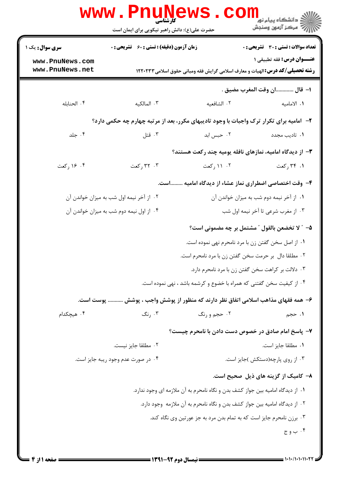|                                                                                         | <b>www.Pnul</b><br>کارشناسی<br>حضرت علی(ع): دانش راهبر نیکویی برای ایمان است      | ews                                                                                   | د دانشگاه پیام نور<br>ا∛هرکز آزمون وسنجش       |  |  |
|-----------------------------------------------------------------------------------------|-----------------------------------------------------------------------------------|---------------------------------------------------------------------------------------|------------------------------------------------|--|--|
| <b>سری سوال :</b> یک ۱                                                                  | <b>زمان آزمون (دقیقه) : تستی : 60 ٪ تشریحی : 0</b>                                |                                                                                       | تعداد سوالات : تستي : 30 ٪ تشريحي : 0          |  |  |
| www.PnuNews.com<br>www.PnuNews.net                                                      |                                                                                   | <b>رشته تحصیلی/گد درس:</b> الهیات و معارف اسلامی گرایش فقه ومبانی حقوق اسلامی ۱۲۲۰۲۳۳ | <b>عنــوان درس:</b> فقه تطبیقی ۱               |  |  |
|                                                                                         |                                                                                   |                                                                                       | ا– قال ان وقت المغرب مضيق .                    |  |  |
| ۰۴ الحنابله                                                                             | ۰۳ المالکیه                                                                       | ٠٢ الشافعيه                                                                           | ۰۱ الامامیه                                    |  |  |
| ۲- امامیه برای تکرار ترک واجبات با وجود تادیبهای مکرر، بعد از مرتبه چهارم چه حکمی دارد؟ |                                                                                   |                                                                                       |                                                |  |  |
| ۰۴ جلد                                                                                  | ۰۳ قتل                                                                            | ۰۲ حبس ابد                                                                            | ٠١. تاديب مجدد                                 |  |  |
|                                                                                         |                                                                                   | ۳- از دیدگاه امامیه، نمازهای نافله پومیه چند رکعت هستند؟                              |                                                |  |  |
| ۰۴ کعت                                                                                  | ۰۳ رکعت                                                                           | ۰۲ ۱۱ رکعت                                                                            | ۰۱ ۳۴ رکعت                                     |  |  |
| ۴- وقت اختصاصی اضطراری نماز عشاء از دیدگاه امامیه است.                                  |                                                                                   |                                                                                       |                                                |  |  |
|                                                                                         | ۰۲ از آخر نیمه اول شب به میزان خواندن آن                                          |                                                                                       | ۰۱ از آخر نیمه دوم شب به میزان خواندن آن       |  |  |
|                                                                                         | ۰۴ از اول نیمه دوم شب به میزان خواندن آن                                          |                                                                                       | ۰۳ از مغرب شرعی تا آخر نیمه اول شب             |  |  |
|                                                                                         |                                                                                   |                                                                                       | ۵– ″ لا تخضعن بالقول ″ مشتمل بر چه مضمونی است؟ |  |  |
|                                                                                         |                                                                                   | ٠١ از اصل سخن گفتن زن با مرد نامحرم نهي نموده است.                                    |                                                |  |  |
|                                                                                         |                                                                                   | ۰۲ مطلقا دال بر حرمت سخن گفتن زن با مرد نامحرم است.                                   |                                                |  |  |
|                                                                                         |                                                                                   | ۰۳ دلالت بر کراهت سخن گفتن زن با مرد نامحرم دارد.                                     |                                                |  |  |
|                                                                                         | ۰۴ از کیفیت سخن گفتنی که همراه با خضوع و کرشمه باشد ، نهی نموده است.              |                                                                                       |                                                |  |  |
|                                                                                         | ۶– همه فقهای مذاهب اسلامی اتفاق نظر دارند که منظور از پوشش واجب ، پوشش  پوست است. |                                                                                       |                                                |  |  |
| ۰۴ هیچکدام                                                                              | ۰۳ رنگ                                                                            | ۰۲ حجم و رنگ                                                                          | ۰۱ حجم                                         |  |  |
|                                                                                         |                                                                                   | ۷– پاسخ امام صادق در خصوص دست دادن با نامحرم چیست؟                                    |                                                |  |  |
|                                                                                         | ٠٢ مطلقا جايز نيست.                                                               |                                                                                       | ٠١. مطلقا جايز است.                            |  |  |
|                                                                                         | ۰۴ در صورت عدم وجود ریبه جایز است.                                                |                                                                                       | ۰۳ از روی پارچه(دستکش)جایز است.                |  |  |
|                                                                                         |                                                                                   |                                                                                       | ۸– کامیک از گزینه های ذیل صحیح است.            |  |  |
| ۰۱ از دیدگاه امامیه بین جواز کشف بدن و نگاه نامحرم به آن ملازمه ای وجود ندارد.          |                                                                                   |                                                                                       |                                                |  |  |
|                                                                                         | ٢. از ديدگاه اماميه بين جواز كشف بدن و نگاه نامحرم به آن ملازمه ۖ وجود دارد.      |                                                                                       |                                                |  |  |
|                                                                                         |                                                                                   | ۰۳ برزن نامحرم جایز است که به تمام بدن مرد به جز عورتین وی نگاه کند.                  |                                                |  |  |
|                                                                                         |                                                                                   |                                                                                       | ۰۴ ب و ج                                       |  |  |
|                                                                                         |                                                                                   |                                                                                       |                                                |  |  |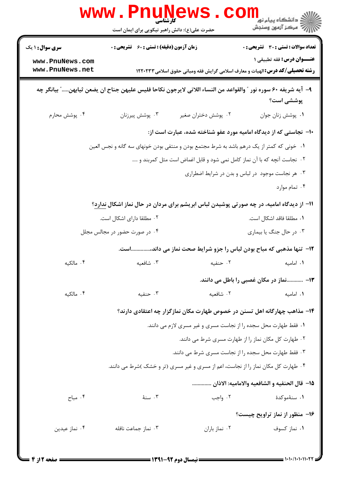| www.PnuNews<br>ڪ دانشڪاه پيا <sub>م</sub> نور<br><mark>√</mark> مرڪز آزمون وسنڊش |                                                                                                               |                     |                                                                                       |  |
|----------------------------------------------------------------------------------|---------------------------------------------------------------------------------------------------------------|---------------------|---------------------------------------------------------------------------------------|--|
|                                                                                  | حضرت علی(ع): دانش راهبر نیکویی برای ایمان است                                                                 |                     |                                                                                       |  |
| <b>سری سوال : ۱ یک</b>                                                           | <b>زمان آزمون (دقیقه) : تستی : 60 ٪ تشریحی : 0</b>                                                            |                     | <b>تعداد سوالات : تستی : 30 ٪ تشریحی : 0</b>                                          |  |
| www.PnuNews.com                                                                  |                                                                                                               |                     | عنــوان درس: فقه تطبيقي ١                                                             |  |
| www.PnuNews.net                                                                  |                                                                                                               |                     | <b>رشته تحصیلی/کد درس:</b> الهیات و معارف اسلامی گرایش فقه ومبانی حقوق اسلامی ۱۲۲۰۲۳۳ |  |
|                                                                                  | ٩–  آيه شريفه ٤٠ سوره نور ″ والقواعد من النساء اللاتي لايرجون نكاحا فليس عليهن جناح ان يضعن ثيابهن″ بيانگر چه |                     | پوششي است؟                                                                            |  |
| ۰۴ پوشش محارم                                                                    | ۰۳ پوشش پیرزنان                                                                                               | ۰۲ پوشش دختران صغیر | ٠١. پوشش زنان جوان                                                                    |  |
|                                                                                  |                                                                                                               |                     | ∙ا− نجاستی که از دیدگاه امامیه مورد عفو شناخته شده، عبارت است از:                     |  |
|                                                                                  | ۰۱ خونی که کمتر از یک درهم باشد به شرط مجتمع بودن و منتفی بودن خونهای سه گانه و نجس العین                     |                     |                                                                                       |  |
|                                                                                  |                                                                                                               |                     | ۲ . نجاست آنچه که با آن نماز کامل نمی شود و قابل اغماض است مثل کمربند و …             |  |
|                                                                                  |                                                                                                               |                     | ۰۳ هر نجاست موجود در لباس و بدن در شرایط اضطراری                                      |  |
|                                                                                  |                                                                                                               |                     | ۰۴ تمام موارد                                                                         |  |
|                                                                                  | ۱۱– از دیدگاه امامیه، در چه صورتی پوشیدن لباس ابریشم برای مردان در حال نماز اشکال <u>ندارد</u> ؟              |                     |                                                                                       |  |
|                                                                                  | ۰۲ مطلقا دارای اشکال است.                                                                                     |                     | ٠١. مطلقا فاقد اشكال است.                                                             |  |
|                                                                                  | ۰۴ در صورت حضور در مجالس مجلل                                                                                 |                     | ۰۳ در حال جنگ یا بیماری                                                               |  |
|                                                                                  |                                                                                                               |                     | ۱۲- تنها مذهبی که مباح بودن لباس را جزو شرایط صحت نماز می داند،است.                   |  |
| ۰۴ مالکته                                                                        | ۰۳ شافعته                                                                                                     | ٢. حنفيه            | ٠١. اماميه                                                                            |  |
|                                                                                  |                                                                                                               |                     | ۱۳– نماز در مکان غصبی را باطل می دانند.                                               |  |
| ۰۴ مالکته                                                                        | ۰۳ حنفیه                                                                                                      | ۰۲ شافعیه           | ٠١. اماميه                                                                            |  |
|                                                                                  |                                                                                                               |                     | ۱۴– مذاهب چهارگانه اهل تسنن در خصوص طهارت مکان نمازگزار چه اعتقادی دارند؟             |  |
|                                                                                  |                                                                                                               |                     | ١. فقط طهارت محل سجده را از نجاست مسرى و غير مسرى لازم مى دانند.                      |  |
|                                                                                  |                                                                                                               |                     | ۰۲ طهارت کل مکان نماز را از طهارت مسری شرط می دانند.                                  |  |
|                                                                                  |                                                                                                               |                     | ۰۳ فقط طهارت محل سجده را از نجاست مسری شرط می دانند.                                  |  |
|                                                                                  | ۰۴ طهارت کل مکان نماز را از نجاست، اعم از مسری و غیر مسری (تر و خشک )شرط می دانند.                            |                     |                                                                                       |  |
|                                                                                  |                                                                                                               |                     | 1۵– قال الحنفيه و الشافعيه والاماميه: الاذان                                          |  |
| ۰۴ مباح                                                                          | ۰۳ سنهٔ                                                                                                       | ۰۲ واجب             | ۰۱ سنهٔموکدهٔ                                                                         |  |
|                                                                                  |                                                                                                               |                     | ۱۶- منظور از نماز تراویح چیست؟                                                        |  |
| ۰۴ نماز عیدین                                                                    | ۰۳ نماز جماعت نافله                                                                                           | ۰۲ نماز باران       | ۰۱ نماز کسوف                                                                          |  |
|                                                                                  |                                                                                                               |                     |                                                                                       |  |
|                                                                                  |                                                                                                               |                     |                                                                                       |  |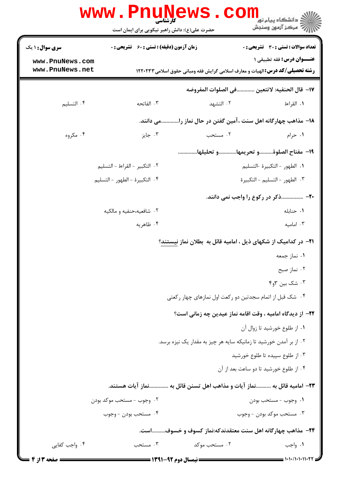|                                    | www.PnuNews<br>کارشناسی<br>حضرت علی(ع): دانش راهبر نیکویی برای ایمان است | COI                                                                                    | ≦ دانشگاه پیام نو <mark>ر</mark><br>رآب " مرڪز آزمون وسنڊش |
|------------------------------------|--------------------------------------------------------------------------|----------------------------------------------------------------------------------------|------------------------------------------------------------|
| <b>سری سوال : ۱ یک</b>             | <b>زمان آزمون (دقیقه) : تستی : 60 ٪ تشریحی : 0</b>                       |                                                                                        | <b>تعداد سوالات : تستی : 30 ٪ تشریحی : 0</b>               |
| www.PnuNews.com<br>www.PnuNews.net |                                                                          | <b>رشته تحصیلی/کد درس: ا</b> لهیات و معارف اسلامی گرایش فقه ومبانی حقوق اسلامی ۱۲۲۰۲۳۳ | <b>عنــوان درس:</b> فقه تطبيقي 1                           |
|                                    |                                                                          | ١٧– قال الحنفيه: لاتتعين في الصلوات المفروضه                                           |                                                            |
| ۰۴ التسليم                         | ۰۳ الفاتحه                                                               | ۲. التشهد                                                                              | ١. القراءة                                                 |
|                                    |                                                                          | ۱۸– مذاهب چهارگانه اهل سنت ،آمین گفتن در حال نماز رامی دانند.                          |                                                            |
| ۰۴ مگروه                           | ۰۳ جايز                                                                  | ۰۲ مستحب                                                                               | ۰۱ حرام                                                    |
|                                    |                                                                          | 1٩- مفتاح الصلوةو تحريمهاو تحليلها                                                     |                                                            |
|                                    | ٢. التكبير - القراءة - التسليم                                           |                                                                                        | ↑. الطهور – التكبيرة ⊣لتسليم                               |
|                                    | ۴. التكبيرة - الطهور - التسليم                                           |                                                                                        | ٠٣ الطهور - التسليم - التكبيرة                             |
|                                    |                                                                          |                                                                                        | +۲- ذکر در رکوع را واجب نمی دانند.                         |
|                                    | ۰۲ شافعیه،حنفیه و مالکیه                                                 |                                                                                        | ٠١. حنابله                                                 |
|                                    | ۰۴ ظاهریه                                                                |                                                                                        | ۰۳ امامیه                                                  |
|                                    |                                                                          | ۲۱− در کدامیک از شکهای ذیل ، امامیه قائل به  بطلان نماز نیستند؟                        |                                                            |
|                                    |                                                                          |                                                                                        | ۰۱ نماز جمعه                                               |
|                                    |                                                                          |                                                                                        | ۰۲ نماز صبح                                                |
|                                    |                                                                          |                                                                                        | ۰۳ شک بین ۳و۴                                              |
|                                    |                                                                          | ۰۴ شک قبل از اتمام سجدتین دو رکعت اول نمازهای چهار رکعتی                               |                                                            |
|                                    |                                                                          | ٢٢- از ديدگاه اماميه ، وقت اقامه نماز عيدين چه زماني است؟                              |                                                            |
|                                    |                                                                          |                                                                                        | ٠١. از طلوع خورشيد تا زوال آن                              |
|                                    |                                                                          | ۲۰ از بر آمدن خورشید تا زمانیکه سایه هر چیز به مقدار یک نیزه برسد.                     |                                                            |
|                                    |                                                                          |                                                                                        | ۰۳ از طلوع سپیده تا طلوع خورشید                            |
|                                    |                                                                          |                                                                                        | ۰۴ از طلوع خورشید تا دو ساعت بعد از آن                     |
|                                    | ٢٣– اماميه قائل به نماز آيات و مذاهب اهل تسنن قائل به نماز آيات هستند.   |                                                                                        |                                                            |
|                                    | ۰۲ وجوب - مستحب موکد بودن                                                |                                                                                        | ٠١. وجوب – مستحب بودن                                      |
|                                    | ۰۴ مستحب بودن – وجوب                                                     |                                                                                        | ۰۳ مستحب موکد بودن – وجوب                                  |
|                                    |                                                                          | ۲۴– مذاهب چهارگانه اهل سنت معتقدندکه:نماز کسوف و خسوفاست.                              |                                                            |
| ۰۴ واجب کفایی                      | ۰۳ مستحب                                                                 | ۰۲ مستحب موکد                                                                          | ۰۱ واجب                                                    |
| = صفحه 3 از 4 ــ                   | <b>ـــــ نیمسال دوم 92-1391 ـــــ</b>                                    |                                                                                        | 1010/101011027 =                                           |